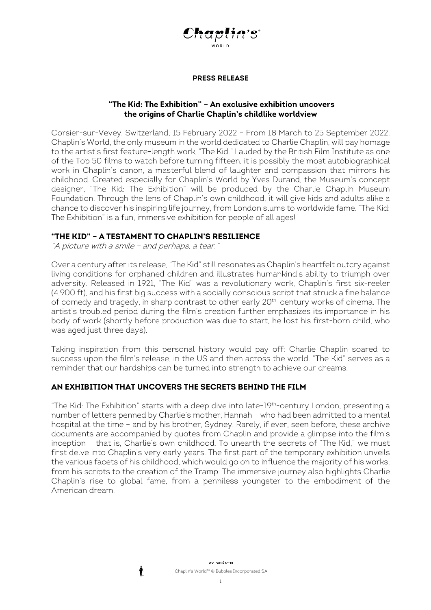

# **"The Kid: The Exhibition" – An exclusive exhibition uncovers the origins of Charlie Chaplin's childlike worldview**

Corsier-sur-Vevey, Switzerland, 15 February 2022 – From 18 March to 25 September 2022, Chaplin's World, the only museum in the world dedicated to Charlie Chaplin, will pay homage to the artist's first feature-length work, "The Kid." Lauded by the British Film Institute as one of the Top 50 films to watch before turning fifteen, it is possibly the most autobiographical work in Chaplin's canon, a masterful blend of laughter and compassion that mirrors his childhood. Created especially for Chaplin's World by Yves Durand, the Museum's concept designer, "The Kid: The Exhibition" will be produced by the Charlie Chaplin Museum Foundation. Through the lens of Chaplin's own childhood, it will give kids and adults alike a chance to discover his inspiring life journey, from London slums to worldwide fame. "The Kid: The Exhibition" is a fun, immersive exhibition for people of all ages!

# **"THE KID" – A TESTAMENT TO CHAPLIN'S RESILIENCE**

"A picture with a smile – and perhaps, a tear."

Over a century after its release, "The Kid" still resonates as Chaplin's heartfelt outcry against living conditions for orphaned children and illustrates humankind's ability to triumph over adversity. Released in 1921, "The Kid" was a revolutionary work, Chaplin's first six-reeler (4,900 ft), and his first big success with a socially conscious script that struck a fine balance of comedy and tragedy, in sharp contrast to other early 20<sup>th</sup>-century works of cinema. The artist's troubled period during the film's creation further emphasizes its importance in his body of work (shortly before production was due to start, he lost his first-born child, who was aged just three days).

Taking inspiration from this personal history would pay off: Charlie Chaplin soared to success upon the film's release, in the US and then across the world. "The Kid" serves as a reminder that our hardships can be turned into strength to achieve our dreams.

## **AN EXHIBITION THAT UNCOVERS THE SECRETS BEHIND THE FILM**

"The Kid: The Exhibition" starts with a deep dive into late-19<sup>th</sup>-century London, presenting a number of letters penned by Charlie's mother, Hannah – who had been admitted to a mental hospital at the time – and by his brother, Sydney. Rarely, if ever, seen before, these archive documents are accompanied by quotes from Chaplin and provide a glimpse into the film's inception – that is, Charlie's own childhood. To unearth the secrets of "The Kid," we must first delve into Chaplin's very early years. The first part of the temporary exhibition unveils the various facets of his childhood, which would go on to influence the majority of his works, from his scripts to the creation of the Tramp. The immersive journey also highlights Charlie Chaplin's rise to global fame, from a penniless youngster to the embodiment of the American dream.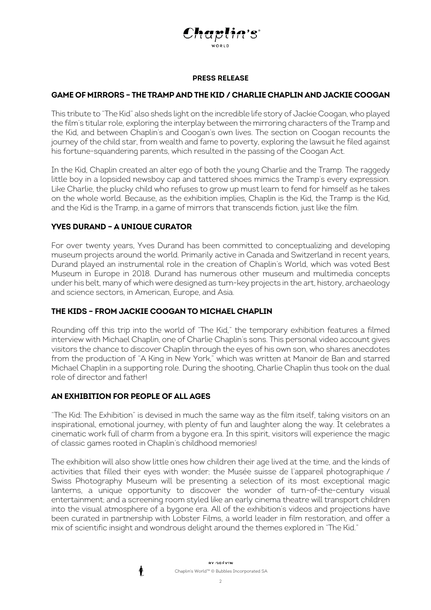

## **GAME OF MIRRORS – THE TRAMP AND THE KID / CHARLIE CHAPLIN AND JACKIE COOGAN**

This tribute to "The Kid" also sheds light on the incredible life story of Jackie Coogan, who played the film's titular role, exploring the interplay between the mirroring characters of the Tramp and the Kid, and between Chaplin's and Coogan's own lives. The section on Coogan recounts the journey of the child star, from wealth and fame to poverty, exploring the lawsuit he filed against his fortune-squandering parents, which resulted in the passing of the Coogan Act.

In the Kid, Chaplin created an alter ego of both the young Charlie and the Tramp. The raggedy little boy in a lopsided newsboy cap and tattered shoes mimics the Tramp's every expression. Like Charlie, the plucky child who refuses to grow up must learn to fend for himself as he takes on the whole world. Because, as the exhibition implies, Chaplin is the Kid, the Tramp is the Kid, and the Kid is the Tramp, in a game of mirrors that transcends fiction, just like the film.

## **YVES DURAND – A UNIQUE CURATOR**

For over twenty years, Yves Durand has been committed to conceptualizing and developing museum projects around the world. Primarily active in Canada and Switzerland in recent years, Durand played an instrumental role in the creation of Chaplin's World, which was voted Best Museum in Europe in 2018. Durand has numerous other museum and multimedia concepts under his belt, many of which were designed as turn-key projects in the art, history, archaeology and science sectors, in American, Europe, and Asia.

## **THE KIDS – FROM JACKIE COOGAN TO MICHAEL CHAPLIN**

Rounding off this trip into the world of "The Kid," the temporary exhibition features a filmed interview with Michael Chaplin, one of Charlie Chaplin's sons. This personal video account gives visitors the chance to discover Chaplin through the eyes of his own son, who shares anecdotes from the production of "A King in New York," which was written at Manoir de Ban and starred Michael Chaplin in a supporting role. During the shooting, Charlie Chaplin thus took on the dual role of director and father!

## **AN EXHIBITION FOR PEOPLE OF ALL AGES**

♠

"The Kid: The Exhibition" is devised in much the same way as the film itself, taking visitors on an inspirational, emotional journey, with plenty of fun and laughter along the way. It celebrates a cinematic work full of charm from a bygone era. In this spirit, visitors will experience the magic of classic games rooted in Chaplin's childhood memories!

The exhibition will also show little ones how children their age lived at the time, and the kinds of activities that filled their eyes with wonder; the Musée suisse de l'appareil photographique / Swiss Photography Museum will be presenting a selection of its most exceptional magic lanterns, a unique opportunity to discover the wonder of turn-of-the-century visual entertainment; and a screening room styled like an early cinema theatre will transport children into the visual atmosphere of a bygone era. All of the exhibition's videos and projections have been curated in partnership with Lobster Films, a world leader in film restoration, and offer a mix of scientific insight and wondrous delight around the themes explored in "The Kid."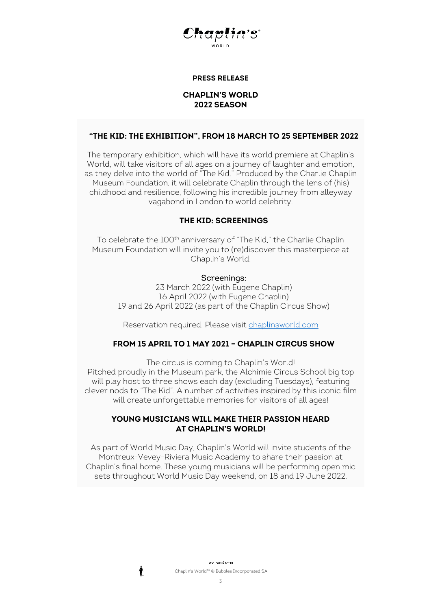

### **CHAPLIN'S WORLD 2022 SEASON**

#### **"THE KID: THE EXHIBITION", FROM 18 MARCH TO 25 SEPTEMBER 2022**

The temporary exhibition, which will have its world premiere at Chaplin's World, will take visitors of all ages on a journey of laughter and emotion, as they delve into the world of "The Kid." Produced by the Charlie Chaplin Museum Foundation, it will celebrate Chaplin through the lens of (his) childhood and resilience, following his incredible journey from alleyway vagabond in London to world celebrity.

#### **THE KID: SCREENINGS**

To celebrate the 100<sup>th</sup> anniversary of "The Kid," the Charlie Chaplin Museum Foundation will invite you to (re)discover this masterpiece at Chaplin's World.

#### Screenings:

23 March 2022 (with Eugene Chaplin) 16 April 2022 (with Eugene Chaplin) 19 and 26 April 2022 (as part of the Chaplin Circus Show)

Reservation required. Please visit [chaplinsworld.com](http://www.chaplinsworld.com/) 

### **FROM 15 APRIL TO 1 MAY 2021 – CHAPLIN CIRCUS SHOW**

The circus is coming to Chaplin's World! Pitched proudly in the Museum park, the Alchimie Circus School big top will play host to three shows each day (excluding Tuesdays), featuring clever nods to "The Kid". A number of activities inspired by this iconic film will create unforgettable memories for visitors of all ages!

### **YOUNG MUSICIANS WILL MAKE THEIR PASSION HEARD AT CHAPLIN'S WORLD!**

As part of World Music Day, Chaplin's World will invite students of the Montreux-Vevey-Riviera Music Academy to share their passion at Chaplin's final home. These young musicians will be performing open mic sets throughout World Music Day weekend, on 18 and 19 June 2022.